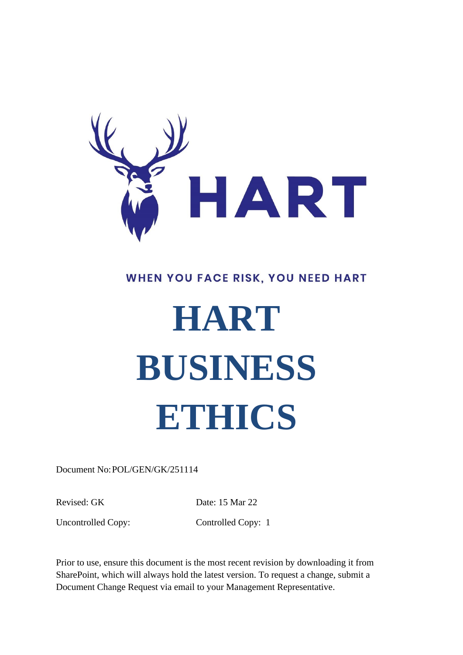

# WHEN YOU FACE RISK, YOU NEED HART

# **HART BUSINESS ETHICS**

Document No:POL/GEN/GK/251114

Revised: GK Date: 15 Mar 22

Uncontrolled Copy: Controlled Copy: 1

Prior to use, ensure this document is the most recent revision by downloading it from SharePoint, which will always hold the latest version. To request a change, submit a Document Change Request via email to your Management Representative.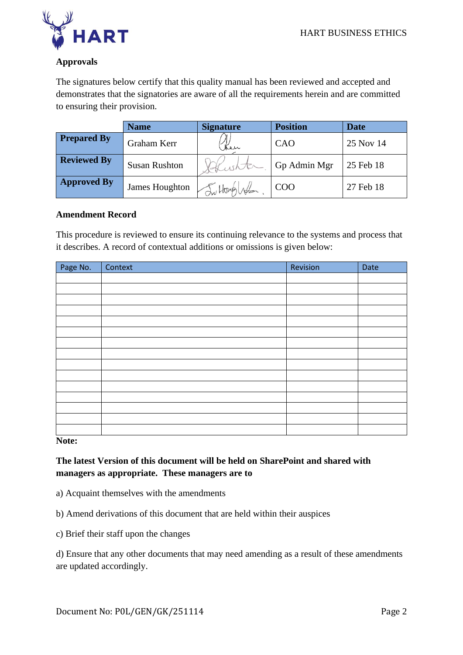

# **Approvals**

The signatures below certify that this quality manual has been reviewed and accepted and demonstrates that the signatories are aware of all the requirements herein and are committed to ensuring their provision.

|                    | <b>Name</b>          | <b>Signature</b> | <b>Position</b> | <b>Date</b> |
|--------------------|----------------------|------------------|-----------------|-------------|
| <b>Prepared By</b> | Graham Kerr          | Ken              | CAO             | 25 Nov 14   |
| <b>Reviewed By</b> | <b>Susan Rushton</b> |                  | Gp Admin Mgr    | 25 Feb 18   |
| <b>Approved By</b> | James Houghton       | Intonglis        | COO             | 27 Feb 18   |

#### **Amendment Record**

This procedure is reviewed to ensure its continuing relevance to the systems and process that it describes. A record of contextual additions or omissions is given below:

| Page No. | Context | Revision | Date |
|----------|---------|----------|------|
|          |         |          |      |
|          |         |          |      |
|          |         |          |      |
|          |         |          |      |
|          |         |          |      |
|          |         |          |      |
|          |         |          |      |
|          |         |          |      |
|          |         |          |      |
|          |         |          |      |
|          |         |          |      |
|          |         |          |      |
|          |         |          |      |
|          |         |          |      |
|          |         |          |      |

**Note:**

**The latest Version of this document will be held on SharePoint and shared with managers as appropriate. These managers are to**

- a) Acquaint themselves with the amendments
- b) Amend derivations of this document that are held within their auspices
- c) Brief their staff upon the changes

d) Ensure that any other documents that may need amending as a result of these amendments are updated accordingly.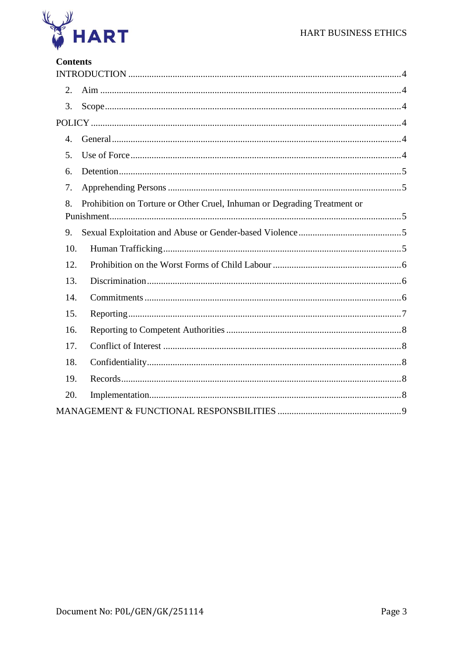

# **Contents**

| 2.  |                                                                          |
|-----|--------------------------------------------------------------------------|
| 3.  |                                                                          |
|     |                                                                          |
| 4.  |                                                                          |
| 5.  |                                                                          |
| 6.  |                                                                          |
| 7.  |                                                                          |
| 8.  | Prohibition on Torture or Other Cruel, Inhuman or Degrading Treatment or |
|     |                                                                          |
| 9.  |                                                                          |
| 10. |                                                                          |
| 12. |                                                                          |
| 13. |                                                                          |
| 14. |                                                                          |
| 15. |                                                                          |
| 16. |                                                                          |
| 17. |                                                                          |
| 18. |                                                                          |
| 19. |                                                                          |
| 20. |                                                                          |
|     |                                                                          |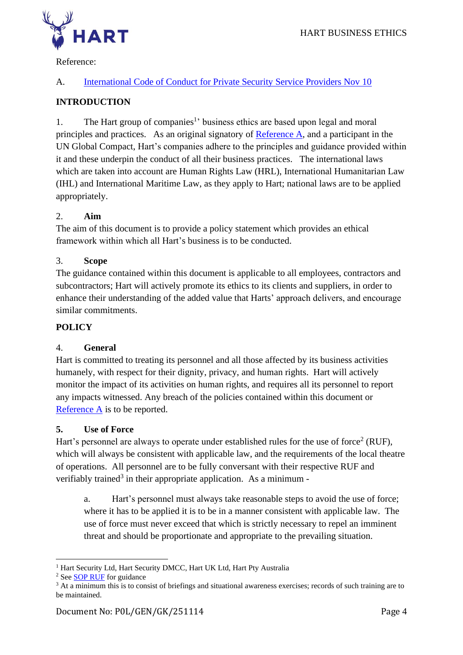

Reference:

# A. [International Code of Conduct for Private Security Service Providers Nov 10](https://hartsecurity.sharepoint.com/:b:/s/HARTLIBRARY/ES6lAkvBC0hDi1VW94KRkbIBNSD8X87CVwE-TRsnWJoTcw?e=zQ2Xpe)

# <span id="page-3-0"></span>**INTRODUCTION**

1. The Hart group of companies<sup>1</sup> business ethics are based upon legal and moral principles and practices. As an original signatory of [Reference](https://hartsecurity.sharepoint.com/:b:/s/HARTLIBRARY/ES6lAkvBC0hDi1VW94KRkbIBNSD8X87CVwE-TRsnWJoTcw?e=zQ2Xpe) A, and a participant in the UN Global Compact, Hart's companies adhere to the principles and guidance provided within it and these underpin the conduct of all their business practices. The international laws which are taken into account are Human Rights Law (HRL), International Humanitarian Law (IHL) and International Maritime Law, as they apply to Hart; national laws are to be applied appropriately.

# <span id="page-3-1"></span>2. **Aim**

The aim of this document is to provide a policy statement which provides an ethical framework within which all Hart's business is to be conducted.

#### <span id="page-3-2"></span>3. **Scope**

The guidance contained within this document is applicable to all employees, contractors and subcontractors; Hart will actively promote its ethics to its clients and suppliers, in order to enhance their understanding of the added value that Harts' approach delivers, and encourage similar commitments.

#### <span id="page-3-3"></span>**POLICY**

#### <span id="page-3-4"></span>4. **General**

Hart is committed to treating its personnel and all those affected by its business activities humanely, with respect for their dignity, privacy, and human rights. Hart will actively monitor the impact of its activities on human rights, and requires all its personnel to report any impacts witnessed. Any breach of the policies contained within this document or [Reference A](https://hartsecurity.sharepoint.com/:b:/s/HARTLIBRARY/ES6lAkvBC0hDi1VW94KRkbIBNSD8X87CVwE-TRsnWJoTcw?e=zQ2Xpe) is to be reported.

#### <span id="page-3-5"></span>**5. Use of Force**

Hart's personnel are always to operate under established rules for the use of force<sup>2</sup> (RUF), which will always be consistent with applicable law, and the requirements of the local theatre of operations. All personnel are to be fully conversant with their respective RUF and verifiably trained<sup>3</sup> in their appropriate application. As a minimum -

a. Hart's personnel must always take reasonable steps to avoid the use of force; where it has to be applied it is to be in a manner consistent with applicable law. The use of force must never exceed that which is strictly necessary to repel an imminent threat and should be proportionate and appropriate to the prevailing situation.

<sup>&</sup>lt;sup>1</sup> Hart Security Ltd, Hart Security DMCC, Hart UK Ltd, Hart Pty Australia

<sup>2</sup> Se[e SOP RUF](https://hartsecurity.sharepoint.com/:w:/s/HARTLIBRARY/EQdxUJjsuTtHhDy4wyq2Z6oBj38T50Ev7o8SwZngBGGrSg?e=wirYih) for guidance

<sup>&</sup>lt;sup>3</sup> At a minimum this is to consist of briefings and situational awareness exercises; records of such training are to be maintained.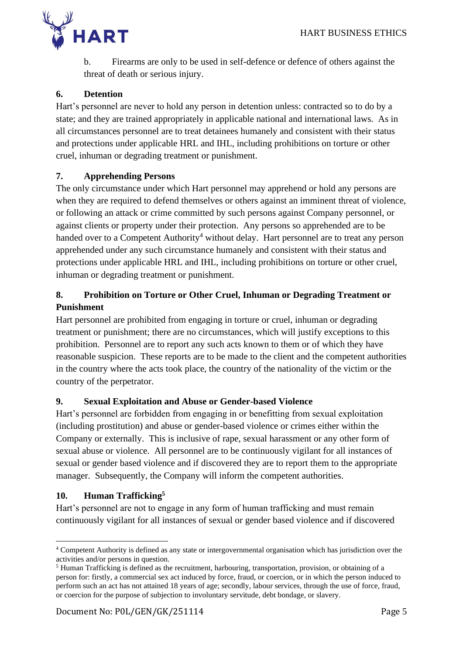

b. Firearms are only to be used in self-defence or defence of others against the threat of death or serious injury.

# <span id="page-4-0"></span>**6. Detention**

Hart's personnel are never to hold any person in detention unless: contracted so to do by a state; and they are trained appropriately in applicable national and international laws. As in all circumstances personnel are to treat detainees humanely and consistent with their status and protections under applicable HRL and IHL, including prohibitions on torture or other cruel, inhuman or degrading treatment or punishment.

# <span id="page-4-1"></span>**7. Apprehending Persons**

The only circumstance under which Hart personnel may apprehend or hold any persons are when they are required to defend themselves or others against an imminent threat of violence, or following an attack or crime committed by such persons against Company personnel, or against clients or property under their protection. Any persons so apprehended are to be handed over to a Competent Authority<sup>4</sup> without delay. Hart personnel are to treat any person apprehended under any such circumstance humanely and consistent with their status and protections under applicable HRL and IHL, including prohibitions on torture or other cruel, inhuman or degrading treatment or punishment.

# <span id="page-4-2"></span>**8. Prohibition on Torture or Other Cruel, Inhuman or Degrading Treatment or Punishment**

Hart personnel are prohibited from engaging in torture or cruel, inhuman or degrading treatment or punishment; there are no circumstances, which will justify exceptions to this prohibition. Personnel are to report any such acts known to them or of which they have reasonable suspicion. These reports are to be made to the client and the competent authorities in the country where the acts took place, the country of the nationality of the victim or the country of the perpetrator.

# <span id="page-4-3"></span>**9. Sexual Exploitation and Abuse or Gender-based Violence**

Hart's personnel are forbidden from engaging in or benefitting from sexual exploitation (including prostitution) and abuse or gender-based violence or crimes either within the Company or externally. This is inclusive of rape, sexual harassment or any other form of sexual abuse or violence. All personnel are to be continuously vigilant for all instances of sexual or gender based violence and if discovered they are to report them to the appropriate manager. Subsequently, the Company will inform the competent authorities.

# <span id="page-4-4"></span>**10. Human Trafficking<sup>5</sup>**

Hart's personnel are not to engage in any form of human trafficking and must remain continuously vigilant for all instances of sexual or gender based violence and if discovered

<sup>4</sup> Competent Authority is defined as any state or intergovernmental organisation which has jurisdiction over the activities and/or persons in question.

<sup>5</sup> Human Trafficking is defined as the recruitment, harbouring, transportation, provision, or obtaining of a person for: firstly, a commercial sex act induced by force, fraud, or coercion, or in which the person induced to perform such an act has not attained 18 years of age; secondly, labour services, through the use of force, fraud, or coercion for the purpose of subjection to involuntary servitude, debt bondage, or slavery.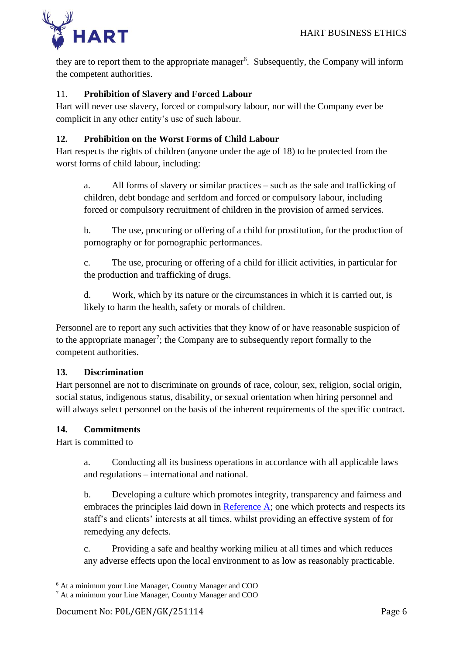

they are to report them to the appropriate manager<sup>6</sup>. Subsequently, the Company will inform the competent authorities.

# 11. **Prohibition of Slavery and Forced Labour**

Hart will never use slavery, forced or compulsory labour, nor will the Company ever be complicit in any other entity's use of such labour.

# <span id="page-5-0"></span>**12. Prohibition on the Worst Forms of Child Labour**

Hart respects the rights of children (anyone under the age of 18) to be protected from the worst forms of child labour, including:

a. All forms of slavery or similar practices – such as the sale and trafficking of children, debt bondage and serfdom and forced or compulsory labour, including forced or compulsory recruitment of children in the provision of armed services.

b. The use, procuring or offering of a child for prostitution, for the production of pornography or for pornographic performances.

c. The use, procuring or offering of a child for illicit activities, in particular for the production and trafficking of drugs.

d. Work, which by its nature or the circumstances in which it is carried out, is likely to harm the health, safety or morals of children.

Personnel are to report any such activities that they know of or have reasonable suspicion of to the appropriate manager<sup>7</sup>; the Company are to subsequently report formally to the competent authorities.

#### <span id="page-5-1"></span>**13. Discrimination**

Hart personnel are not to discriminate on grounds of race, colour, sex, religion, social origin, social status, indigenous status, disability, or sexual orientation when hiring personnel and will always select personnel on the basis of the inherent requirements of the specific contract.

#### <span id="page-5-2"></span>**14. Commitments**

Hart is committed to

a. Conducting all its business operations in accordance with all applicable laws and regulations – international and national.

b. Developing a culture which promotes integrity, transparency and fairness and embraces the principles laid down in [Reference A;](https://hartsecurity.sharepoint.com/:b:/s/HARTLIBRARY/ES6lAkvBC0hDi1VW94KRkbIBNSD8X87CVwE-TRsnWJoTcw?e=zQ2Xpe) one which protects and respects its staff's and clients' interests at all times, whilst providing an effective system of for remedying any defects.

c. Providing a safe and healthy working milieu at all times and which reduces any adverse effects upon the local environment to as low as reasonably practicable.

<sup>6</sup> At a minimum your Line Manager, Country Manager and COO

<sup>7</sup> At a minimum your Line Manager, Country Manager and COO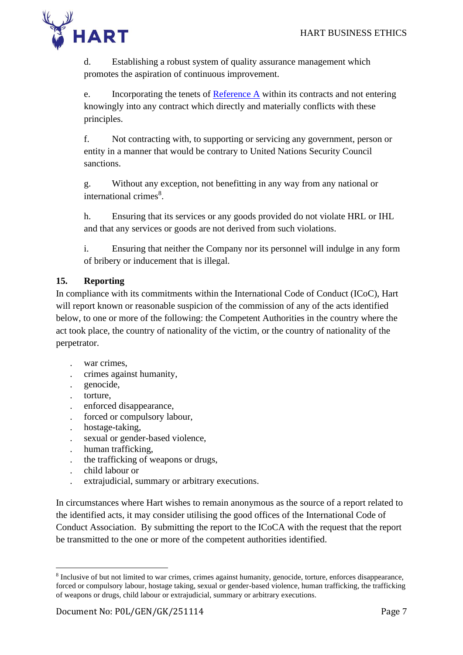

d. Establishing a robust system of quality assurance management which promotes the aspiration of continuous improvement.

e. Incorporating the tenets of [Reference A](https://hartsecurity.sharepoint.com/:b:/s/HARTLIBRARY/ES6lAkvBC0hDi1VW94KRkbIBNSD8X87CVwE-TRsnWJoTcw?e=zQ2Xpe) within its contracts and not entering knowingly into any contract which directly and materially conflicts with these principles.

f. Not contracting with, to supporting or servicing any government, person or entity in a manner that would be contrary to United Nations Security Council sanctions.

g. Without any exception, not benefitting in any way from any national or international crimes 8 .

h. Ensuring that its services or any goods provided do not violate HRL or IHL and that any services or goods are not derived from such violations.

i. Ensuring that neither the Company nor its personnel will indulge in any form of bribery or inducement that is illegal.

# <span id="page-6-0"></span>**15. Reporting**

In compliance with its commitments within the International Code of Conduct (ICoC), Hart will report known or reasonable suspicion of the commission of any of the acts identified below, to one or more of the following: the Competent Authorities in the country where the act took place, the country of nationality of the victim, or the country of nationality of the perpetrator.

- war crimes,
- . crimes against humanity,
- . genocide,
- torture,
- . enforced disappearance,
- . forced or compulsory labour,
- . hostage-taking,
- . sexual or gender-based violence,
- . human trafficking,
- . the trafficking of weapons or drugs,
- . child labour or
- . extrajudicial, summary or arbitrary executions.

In circumstances where Hart wishes to remain anonymous as the source of a report related to the identified acts, it may consider utilising the good offices of the International Code of Conduct Association. By submitting the report to the ICoCA with the request that the report be transmitted to the one or more of the competent authorities identified.

<sup>&</sup>lt;sup>8</sup> Inclusive of but not limited to war crimes, crimes against humanity, genocide, torture, enforces disappearance, forced or compulsory labour, hostage taking, sexual or gender-based violence, human trafficking, the trafficking of weapons or drugs, child labour or extrajudicial, summary or arbitrary executions.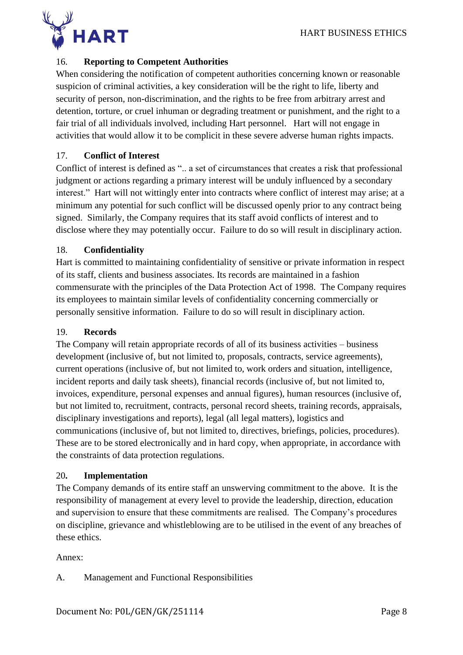

# <span id="page-7-0"></span>16. **Reporting to Competent Authorities**

When considering the notification of competent authorities concerning known or reasonable suspicion of criminal activities, a key consideration will be the right to life, liberty and security of person, non-discrimination, and the rights to be free from arbitrary arrest and detention, torture, or cruel inhuman or degrading treatment or punishment, and the right to a fair trial of all individuals involved, including Hart personnel. Hart will not engage in activities that would allow it to be complicit in these severe adverse human rights impacts.

#### <span id="page-7-1"></span>17. **Conflict of Interest**

Conflict of interest is defined as ".. a set of circumstances that creates a risk that professional judgment or actions regarding a primary interest will be unduly influenced by a secondary interest." Hart will not wittingly enter into contracts where conflict of interest may arise; at a minimum any potential for such conflict will be discussed openly prior to any contract being signed. Similarly, the Company requires that its staff avoid conflicts of interest and to disclose where they may potentially occur. Failure to do so will result in disciplinary action.

# <span id="page-7-2"></span>18. **Confidentiality**

Hart is committed to maintaining confidentiality of sensitive or private information in respect of its staff, clients and business associates. Its records are maintained in a fashion commensurate with the principles of the Data Protection Act of 1998. The Company requires its employees to maintain similar levels of confidentiality concerning commercially or personally sensitive information. Failure to do so will result in disciplinary action.

#### <span id="page-7-3"></span>19. **Records**

The Company will retain appropriate records of all of its business activities – business development (inclusive of, but not limited to, proposals, contracts, service agreements), current operations (inclusive of, but not limited to, work orders and situation, intelligence, incident reports and daily task sheets), financial records (inclusive of, but not limited to, invoices, expenditure, personal expenses and annual figures), human resources (inclusive of, but not limited to, recruitment, contracts, personal record sheets, training records, appraisals, disciplinary investigations and reports), legal (all legal matters), logistics and communications (inclusive of, but not limited to, directives, briefings, policies, procedures). These are to be stored electronically and in hard copy, when appropriate, in accordance with the constraints of data protection regulations.

#### <span id="page-7-4"></span>20**. Implementation**

The Company demands of its entire staff an unswerving commitment to the above. It is the responsibility of management at every level to provide the leadership, direction, education and supervision to ensure that these commitments are realised. The Company's procedures on discipline, grievance and whistleblowing are to be utilised in the event of any breaches of these ethics.

#### Annex:

A. Management and Functional Responsibilities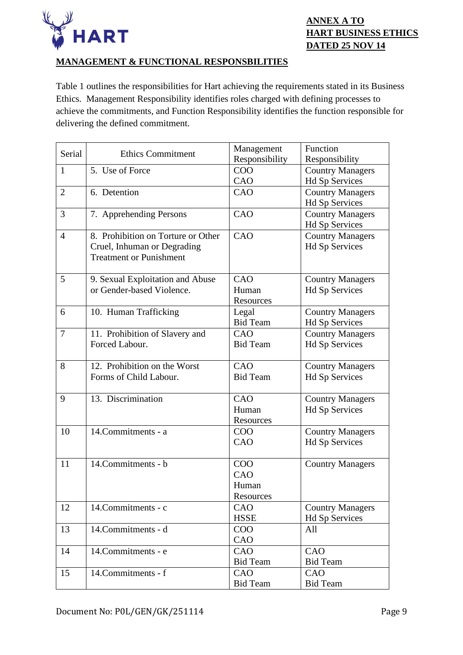

#### <span id="page-8-0"></span>**MANAGEMENT & FUNCTIONAL RESPONSBILITIES**

Table 1 outlines the responsibilities for Hart achieving the requirements stated in its Business Ethics. Management Responsibility identifies roles charged with defining processes to achieve the commitments, and Function Responsibility identifies the function responsible for delivering the defined commitment.

| Serial                   | <b>Ethics Commitment</b>           | Management      | Function                |
|--------------------------|------------------------------------|-----------------|-------------------------|
|                          |                                    | Responsibility  | Responsibility          |
| $\mathbf{1}$             | 5. Use of Force                    | COO             | <b>Country Managers</b> |
|                          |                                    | CAO             | Hd Sp Services          |
| $\overline{2}$           | 6. Detention                       | CAO             | <b>Country Managers</b> |
|                          |                                    |                 | Hd Sp Services          |
| 3                        | 7. Apprehending Persons            | CAO             | <b>Country Managers</b> |
|                          |                                    |                 | <b>Hd Sp Services</b>   |
| 4                        | 8. Prohibition on Torture or Other | CAO             | <b>Country Managers</b> |
|                          | Cruel, Inhuman or Degrading        |                 | <b>Hd Sp Services</b>   |
|                          | <b>Treatment or Punishment</b>     |                 |                         |
|                          |                                    |                 |                         |
| 5                        | 9. Sexual Exploitation and Abuse   | CAO             | <b>Country Managers</b> |
|                          | or Gender-based Violence.          | Human           | Hd Sp Services          |
|                          |                                    | Resources       |                         |
| 6                        | 10. Human Trafficking              | Legal           | <b>Country Managers</b> |
|                          |                                    | <b>Bid Team</b> | Hd Sp Services          |
| $\overline{\mathcal{L}}$ | 11. Prohibition of Slavery and     | CAO             | <b>Country Managers</b> |
|                          | Forced Labour.                     | <b>Bid Team</b> | Hd Sp Services          |
|                          |                                    |                 |                         |
| 8                        | 12. Prohibition on the Worst       | CAO             | <b>Country Managers</b> |
|                          | Forms of Child Labour.             | <b>Bid Team</b> | Hd Sp Services          |
|                          |                                    |                 |                         |
| 9                        | 13. Discrimination                 | CAO             | <b>Country Managers</b> |
|                          |                                    | Human           | Hd Sp Services          |
|                          |                                    | Resources       |                         |
| 10                       | 14. Commitments - a                | COO             | <b>Country Managers</b> |
|                          |                                    | CAO             | Hd Sp Services          |
|                          |                                    |                 |                         |
| 11                       | 14. Commitments - b                | COO             | <b>Country Managers</b> |
|                          |                                    | CAO             |                         |
|                          |                                    | Human           |                         |
|                          |                                    | Resources       |                         |
| 12                       | 14. Commitments - c                | CAO             | <b>Country Managers</b> |
|                          |                                    | <b>HSSE</b>     | Hd Sp Services          |
| 13                       | 14. Commitments - d                | COO             | All                     |
|                          |                                    | CAO             |                         |
| 14                       | 14. Commitments - e                | CAO             | CAO                     |
|                          |                                    | <b>Bid Team</b> | <b>Bid Team</b>         |
| 15                       | 14.Commitments - f                 | CAO             | CAO                     |
|                          |                                    | <b>Bid Team</b> | <b>Bid Team</b>         |